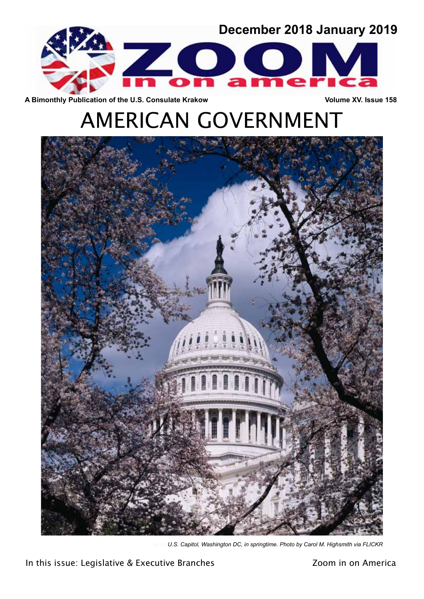

A Bimonthly Publication of the U.S. Consulate Krakow **Volume XV. Issue 158** 

# AMERICAN GOVERNMENT



U.S. Capitol, Washington DC, in springtime. Photo by Carol M. Highsmith via FLICKR

In this issue: Legislative & Executive Branches **Fig. 2001** in on America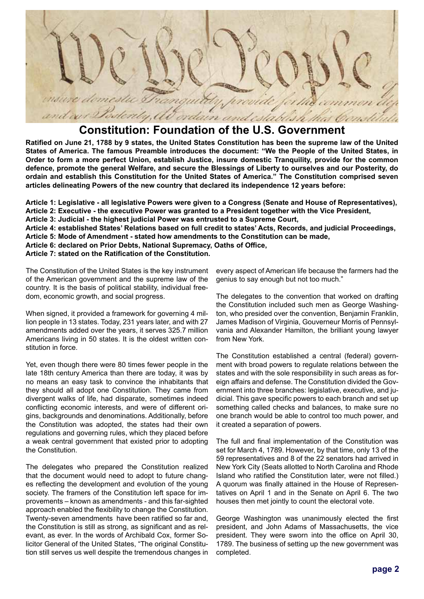

### **Constitution: Foundation of the U.S. Government**

**Ratified on June 21, 1788 by 9 states, the United States Constitution has been the supreme law of the United States of America. The famous Preamble introduces the document: "We the People of the United States, in Order to form a more perfect Union, establish Justice, insure domestic Tranquility, provide for the common defence, promote the general Welfare, and secure the Blessings of Liberty to ourselves and our Posterity, do ordain and establish this Constitution for the United States of America." The Constitution comprised seven articles delineating Powers of the new country that declared its independence 12 years before:**

**Article 1: Legislative - all legislative Powers were given to a Congress (Senate and House of Representatives), Article 2: Executive - the executive Power was granted to a President together with the Vice President, Article 3: Judicial - the highest judicial Power was entrusted to a Supreme Court, Article 4: established States' Relations based on full credit to states' Acts, Records, and judicial Proceedings, Article 5: Mode of Amendment - stated how amendments to the Constitution can be made,**

**Article 6: declared on Prior Debts, National Supremacy, Oaths of Office,** 

**Article 7: stated on the Ratification of the Constitution.**

The Constitution of the United States is the key instrument of the American government and the supreme law of the country. It is the basis of political stability, individual freedom, economic growth, and social progress.

When signed, it provided a framework for governing 4 million people in 13 states. Today, 231 years later, and with 27 amendments added over the years, it serves 325.7 million Americans living in 50 states. It is the oldest written constitution in force.

Yet, even though there were 80 times fewer people in the late 18th century America than there are today, it was by no means an easy task to convince the inhabitants that they should all adopt one Constitution. They came from divergent walks of life, had disparate, sometimes indeed conflicting economic interests, and were of different origins, backgrounds and denominations. Additionally, before the Constitution was adopted, the states had their own regulations and governing rules, which they placed before a weak central government that existed prior to adopting the Constitution.

The delegates who prepared the Constitution realized that the document would need to adopt to future changes reflecting the development and evolution of the young society. The framers of the Constitution left space for improvements – known as amendments - and this far-sighted approach enabled the flexibility to change the Constitution. Twenty-seven amendments have been ratified so far and, the Constitution is still as strong, as significant and as relevant, as ever. In the words of Archibald Cox, former Solicitor General of the United States, "The original Constitution still serves us well despite the tremendous changes in every aspect of American life because the farmers had the genius to say enough but not too much."

The delegates to the convention that worked on drafting the Constitution included such men as George Washington, who presided over the convention, Benjamin Franklin, James Madison of Virginia, Gouverneur Morris of Pennsylvania and Alexander Hamilton, the brilliant young lawyer from New York.

The Constitution established a central (federal) government with broad powers to regulate relations between the states and with the sole responsibility in such areas as foreign affairs and defense. The Constitution divided the Government into three branches: legislative, executive, and judicial. This gave specific powers to each branch and set up something called checks and balances, to make sure no one branch would be able to control too much power, and it created a separation of powers.

The full and final implementation of the Constitution was set for March 4, 1789. However, by that time, only 13 of the 59 representatives and 8 of the 22 senators had arrived in New York City (Seats allotted to North Carolina and Rhode Island who ratified the Constitution later, were not filled.) A quorum was finally attained in the House of Representatives on April 1 and in the Senate on April 6. The two houses then met jointly to count the electoral vote.

George Washington was unanimously elected the first president, and John Adams of Massachusetts, the vice president. They were sworn into the office on April 30, 1789. The business of setting up the new government was completed.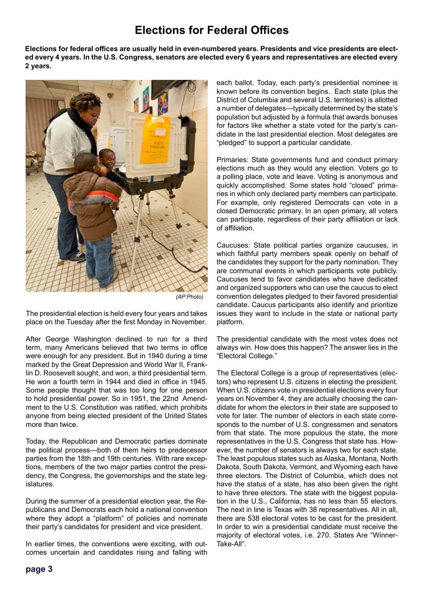## **Elections for Federal Offices**

**Elections for federal offices are usually held in even-numbered years. Presidents and vice presidents are elected every 4 years. In the U.S. Congress, senators are elected every 6 years and representatives are elected every 2 years.** 



 *(AP Photo)*

The presidential election is held every four years and takes place on the Tuesday after the first Monday in November.

After George Washington declined to run for a third term, many Americans believed that two terms in office were enough for any president. But in 1940 during a time marked by the Great Depression and World War II, Franklin D. Roosevelt sought, and won, a third presidential term. He won a fourth term in 1944 and died in office in 1945. Some people thought that was too long for one person to hold presidential power. So in 1951, the 22nd Amendment to the U.S. Constitution was ratified, which prohibits anyone from being elected president of the United States more than twice.

Today, the Republican and Democratic parties dominate the political process—both of them heirs to predecessor parties from the 18th and 19th centuries. With rare exceptions, members of the two major parties control the presidency, the Congress, the governorships and the state legislatures.

During the summer of a presidential election year, the Republicans and Democrats each hold a national convention where they adopt a "platform" of policies and nominate their party's candidates for president and vice president.

In earlier times, the conventions were exciting, with outcomes uncertain and candidates rising and falling with each ballot. Today, each party's presidential nominee is known before its convention begins. Each state (plus the District of Columbia and several U.S. territories) is allotted a number of delegates—typically determined by the state's population but adjusted by a formula that awards bonuses for factors like whether a state voted for the party's candidate in the last presidential election. Most delegates are "pledged" to support a particular candidate.

Primaries: State governments fund and conduct primary elections much as they would any election. Voters go to a polling place, vote and leave. Voting is anonymous and quickly accomplished. Some states hold "closed" primaries in which only declared party members can participate. For example, only registered Democrats can vote in a closed Democratic primary. In an open primary, all voters can participate, regardless of their party affiliation or lack of affiliation.

Caucuses: State political parties organize caucuses, in which faithful party members speak openly on behalf of the candidates they support for the party nomination. They are communal events in which participants vote publicly. Caucuses tend to favor candidates who have dedicated and organized supporters who can use the caucus to elect convention delegates pledged to their favored presidential candidate. Caucus participants also identify and prioritize issues they want to include in the state or national party platform.

The presidential candidate with the most votes does not always win. How does this happen? The answer lies in the "Electoral College."

The Electoral College is a group of representatives (electors) who represent U.S. citizens in electing the president. When U.S. citizens vote in presidential elections every four years on November 4, they are actually choosing the candidate for whom the electors in their state are supposed to vote for later. The number of electors in each state corresponds to the number of U.S. congressmen and senators from that state. The more populous the state, the more representatives in the U.S. Congress that state has. However, the number of senators is always two for each state. The least populous states such as Alaska, Montana, North Dakota, South Dakota, Vermont, and Wyoming each have three electors. The District of Columbia, which does not have the status of a state, has also been given the right to have three electors. The state with the biggest population in the U.S., California, has no less than 55 electors. The next in line is Texas with 38 representatives. All in all, there are 538 electoral votes to be cast for the president. In order to win a presidential candidate must receive the majority of electoral votes, i.e. 270. States Are "Winner-Take-All".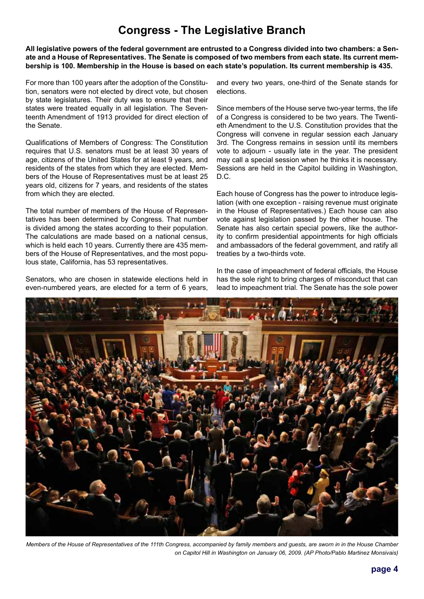## **Congress - The Legislative Branch**

**All legislative powers of the federal government are entrusted to a Congress divided into two chambers: a Senate and a House of Representatives. The Senate is composed of two members from each state. Its current membership is 100. Membership in the House is based on each state's population. Its current membership is 435.**

For more than 100 years after the adoption of the Constitution, senators were not elected by direct vote, but chosen by state legislatures. Their duty was to ensure that their states were treated equally in all legislation. The Seventeenth Amendment of 1913 provided for direct election of the Senate.

Qualifications of Members of Congress: The Constitution requires that U.S. senators must be at least 30 years of age, citizens of the United States for at least 9 years, and residents of the states from which they are elected. Members of the House of Representatives must be at least 25 years old, citizens for 7 years, and residents of the states from which they are elected.

The total number of members of the House of Representatives has been determined by Congress. That number is divided among the states according to their population. The calculations are made based on a national census, which is held each 10 years. Currently there are 435 members of the House of Representatives, and the most populous state, California, has 53 representatives.

Senators, who are chosen in statewide elections held in even-numbered years, are elected for a term of 6 years,

and every two years, one-third of the Senate stands for elections.

Since members of the House serve two-year terms, the life of a Congress is considered to be two years. The Twentieth Amendment to the U.S. Constitution provides that the Congress will convene in regular session each January 3rd. The Congress remains in session until its members vote to adjourn - usually late in the year. The president may call a special session when he thinks it is necessary. Sessions are held in the Capitol building in Washington, D.C.

Each house of Congress has the power to introduce legislation (with one exception - raising revenue must originate in the House of Representatives.) Each house can also vote against legislation passed by the other house. The Senate has also certain special powers, like the authority to confirm presidential appointments for high officials and ambassadors of the federal government, and ratify all treaties by a two-thirds vote.

In the case of impeachment of federal officials, the House has the sole right to bring charges of misconduct that can lead to impeachment trial. The Senate has the sole power



*Members of the House of Representatives of the 111th Congress, accompanied by family members and guests, are sworn in in the House Chamber on Capitol Hill in Washington on January 06, 2009. (AP Photo/Pablo Martinez Monsivais)*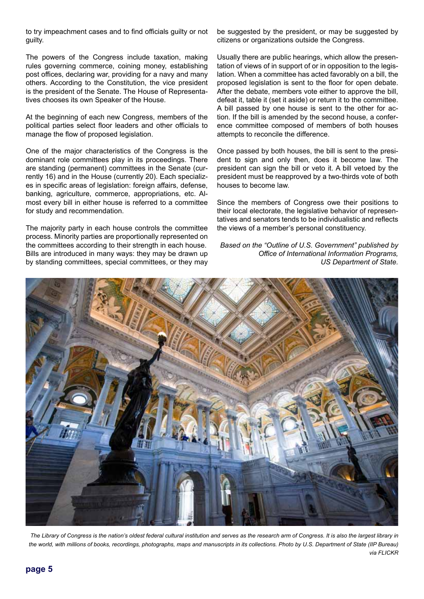to try impeachment cases and to find officials guilty or not guilty.

The powers of the Congress include taxation, making rules governing commerce, coining money, establishing post offices, declaring war, providing for a navy and many others. According to the Constitution, the vice president is the president of the Senate. The House of Representatives chooses its own Speaker of the House.

At the beginning of each new Congress, members of the political parties select floor leaders and other officials to manage the flow of proposed legislation.

One of the major characteristics of the Congress is the dominant role committees play in its proceedings. There are standing (permanent) committees in the Senate (currently 16) and in the House (currently 20). Each specializes in specific areas of legislation: foreign affairs, defense, banking, agriculture, commerce, appropriations, etc. Almost every bill in either house is referred to a committee for study and recommendation.

The majority party in each house controls the committee process. Minority parties are proportionally represented on the committees according to their strength in each house. Bills are introduced in many ways: they may be drawn up by standing committees, special committees, or they may

be suggested by the president, or may be suggested by citizens or organizations outside the Congress.

Usually there are public hearings, which allow the presentation of views of in support of or in opposition to the legislation. When a committee has acted favorably on a bill, the proposed legislation is sent to the floor for open debate. After the debate, members vote either to approve the bill, defeat it, table it (set it aside) or return it to the committee. A bill passed by one house is sent to the other for action. If the bill is amended by the second house, a conference committee composed of members of both houses attempts to reconcile the difference.

Once passed by both houses, the bill is sent to the president to sign and only then, does it become law. The president can sign the bill or veto it. A bill vetoed by the president must be reapproved by a two-thirds vote of both houses to become law.

Since the members of Congress owe their positions to their local electorate, the legislative behavior of representatives and senators tends to be individualistic and reflects the views of a member's personal constituency.

*Based on the "Outline of U.S. Government" published by Office of International Information Programs, US Department of State.*



*The Library of Congress is the nation's oldest federal cultural institution and serves as the research arm of Congress. It is also the largest library in the world, with millions of books, recordings, photographs, maps and manuscripts in its collections. Photo by U.S. Department of State (IIP Bureau) via FLICKR*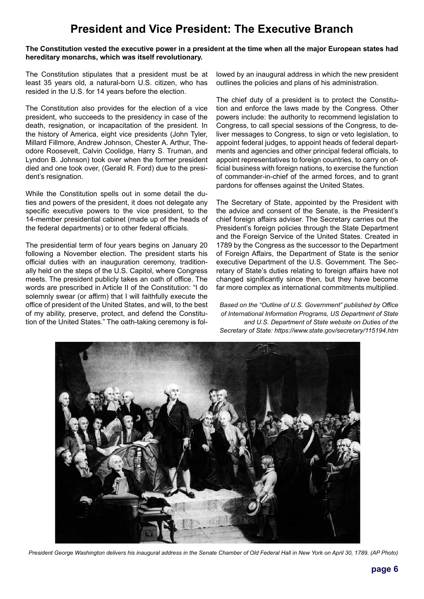## **President and Vice President: The Executive Branch**

#### **The Constitution vested the executive power in a president at the time when all the major European states had hereditary monarchs, which was itself revolutionary.**

The Constitution stipulates that a president must be at least 35 years old, a natural-born U.S. citizen, who has resided in the U.S. for 14 years before the election.

The Constitution also provides for the election of a vice president, who succeeds to the presidency in case of the death, resignation, or incapacitation of the president. In the history of America, eight vice presidents (John Tyler, Millard Fillmore, Andrew Johnson, Chester A. Arthur, Theodore Roosevelt, Calvin Coolidge, Harry S. Truman, and Lyndon B. Johnson) took over when the former president died and one took over, (Gerald R. Ford) due to the president's resignation.

While the Constitution spells out in some detail the duties and powers of the president, it does not delegate any specific executive powers to the vice president, to the 14-member presidential cabinet (made up of the heads of the federal departments) or to other federal officials.

The presidential term of four years begins on January 20 following a November election. The president starts his official duties with an inauguration ceremony, traditionally held on the steps of the U.S. Capitol, where Congress meets. The president publicly takes an oath of office. The words are prescribed in Article II of the Constitution: "I do solemnly swear (or affirm) that I will faithfully execute the office of president of the United States, and will, to the best of my ability, preserve, protect, and defend the Constitution of the United States." The oath-taking ceremony is fol-

lowed by an inaugural address in which the new president outlines the policies and plans of his administration.

The chief duty of a president is to protect the Constitution and enforce the laws made by the Congress. Other powers include: the authority to recommend legislation to Congress, to call special sessions of the Congress, to deliver messages to Congress, to sign or veto legislation, to appoint federal judges, to appoint heads of federal departments and agencies and other principal federal officials, to appoint representatives to foreign countries, to carry on official business with foreign nations, to exercise the function of commander-in-chief of the armed forces, and to grant pardons for offenses against the United States.

The Secretary of State, appointed by the President with the advice and consent of the Senate, is the President's chief foreign affairs adviser. The Secretary carries out the President's foreign policies through the State Department and the Foreign Service of the United States. Created in 1789 by the Congress as the successor to the Department of Foreign Affairs, the Department of State is the senior executive Department of the U.S. Government. The Secretary of State's duties relating to foreign affairs have not changed significantly since then, but they have become far more complex as international commitments multiplied.

*Based on the "Outline of U.S. Government" published by Office of International Information Programs, US Department of State and U.S. Department of State website on Duties of the Secretary of State: https://www.state.gov/secretary/115194.htm*



*President George Washington delivers his inaugural address in the Senate Chamber of Old Federal Hall in New York on April 30, 1789. (AP Photo)*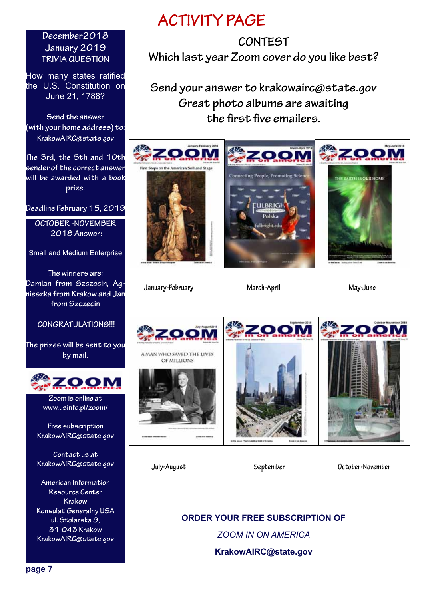#### **December2018 January 2019 TRIVIA QUESTION**

How many states ratified the U.S. Constitution on June 21, 1788?

**Send the answer (with your home address) to: KrakowAIRC@state.gov**

**The 3rd, the 5th and 10th sender of the correct answer will be awarded with a book prize.** 

**Deadline February 15, 2019**

**OCTOBER -NOVEMBER 2018 Answer:** 

Small and Medium Enterprise

**The winners are: Damian from Szczecin, Agnieszka from Krakow and Jan from Szczecin**

#### **CONGRATULATIONS!!!**

**The prizes will be sent to you by mail.**



**Zoom is online at www.usinfo.pl/zoom/**

**Free subscription KrakowAIRC@state.gov**

**Contact us at KrakowAIRC@state.gov**

**American Information Resource Center Krakow Konsulat Generalny USA ul. Stolarska 9, 31-043 Krakow KrakowAIRC@state.gov**

## **ACTIVITY PAGE**

## **CONTEST Which last year Zoom cover do you like best?**

**Send your answer to krakowairc@state.gov Great photo albums are awaiting the first five emailers.**



**January-February March-April May-June**



**July-August September October-November**

**ORDER YOUR FREE SUBSCRIPTION OF** *ZOOM IN ON AMERICA* **KrakowAIRC@state.gov**